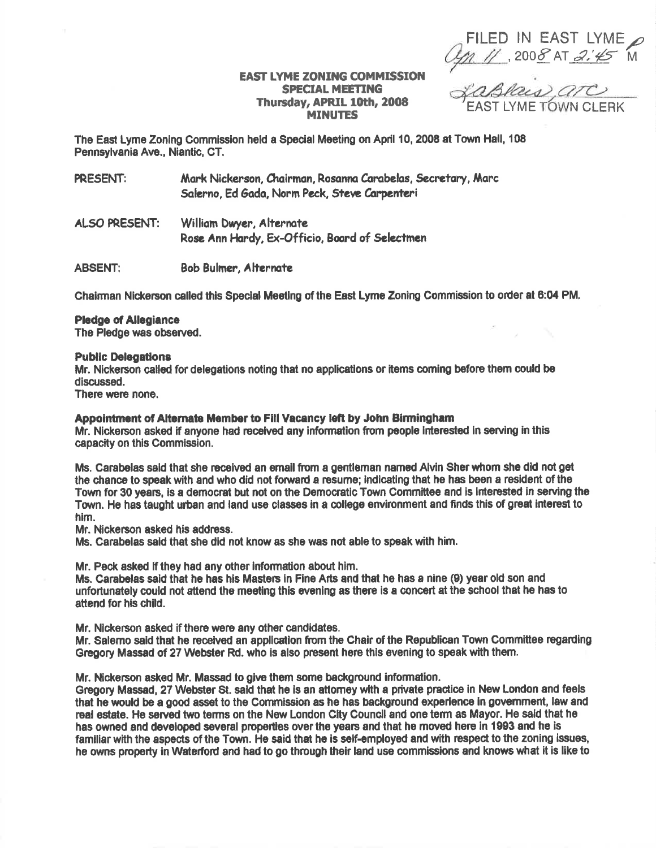FILED IN EAST LYME<br>M // ,2008 AT 2.45 M

## **EAST LYME ZONING COMMISSION** SPECIAL MEETING Thursday, APRIL 10th, 2008 , APRIL 10th, 2006 FEAST LYME TOWN CLERK

The East Lyme Zoning Commission held a Special Meeting on April 10, 2008 at Town Hall, 108 Pennsylvanis Ave., Niantic, CT.

PRESENT: Mark Nickerson. Chairman. Rosanna Carabelas, Secretary, Marc Salerno, Ed Gada, Norm Peck, Steve Carpenteri

ALSO PRESENT: William Dwyer, Alternate Rose Ann Hardy, Ex-Officio, Board of Selectmen

ABSENT: Bob Bulmer, Alternate

Chairman Nickerson called this Special Meeting of the East Lyme Zoning Commission to order at 6:04 PM.

## Pledge of Alegiance

The Pledge was observed.

## **Public Delegations**

Mr. Nickerson called for delegations noting that no applications or items coming before them could be discussed.

There were none.

## Appointment of Alternate Member to Fill Vacancy left by John Birmingham

Mr. Nickerson asked if anyone had recelved any information fiom people lnterested in serving in this capacity on this Commission.

Ms. Carabelas said that she received an email from a gentleman named Alvin Sher whom she did not get the chance to speak with and who did not forward a resume; indicating that he has been a resident of the Town for 30 yeans, is a democrat but not on the Democratlc Town Committee and is interssted in serving the Town. He has taught urban and land use classes in a college environment and finds this of great interest to him.

Mr. Nickerson asked his address.

Ms. Garabelas sald that she did not know as she was not ahle to speak with him.

Mr. Peck asked if they had any other information about him.

Ms. Carabelas said that he has his Masters in Fine Arts and that he has a nine (9) year old son and unfortunately could not attend the meeting this evening as there is a concert at the school that he has to attend for his child.

Mr. Nickerson asked if there were any other candidates.

Mr. Salemo said that he received an application from the Chair of the Republican Town Committee regarding Gregory Massad of 27 Webster Rd. who is also present here this evening to speak with them.

Mr. Nickerson asked Mr. Massad to give them some background information.

Gregory Massad, 27 Webster St. said that he is an attomey with a private practice in New London and feels that he would be a good asset to the Commission as he has background experience ln govemment, law and real estate. He served two terms on the New London City Council and one term as Mayor. He said that he has owned and developed several properties over the years and that he moved here in 1993 and he is familiar with the aspects of the Town. He said that he is self-employed and with respect to the zoning issues, he owns property in Waterford and had to go through their land use commissions and knows what it is like to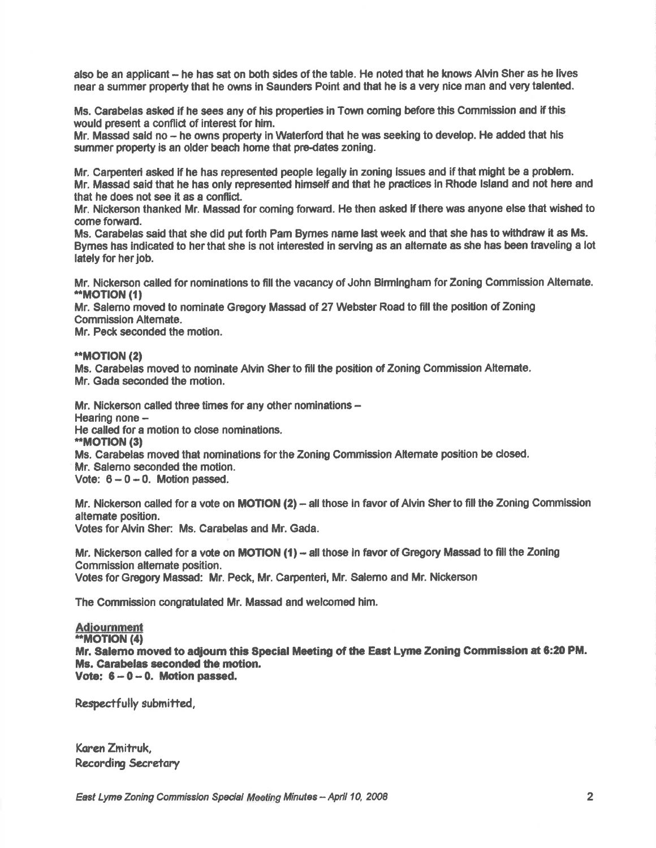also be an applicant -- he has sat on both sides of the table. He noted that he knows Alvin Sher as he lives near a summer property that he owns in Saunders Point and that he is a very nice man and very talented.

Ms. Carabelas asked if he sees any of his properties in Town coming before this Commission and if this would present a conflict of interest for him.

Mr. Massad said no - he owns property in Waterford that he was seeking to develop. He added that his summer property is an older beach home that pre-dates zoning.

Mr. Carpenteri asked if he has represented people legally in zoning issues and if that might be a problem. Mr. Massad said that he has only represented himsetf and that he pracfices ln Rhode lsland and not here and that he does not see it as a conflict.

Mr. Nickerson thanked Mr. Massad for coming forward. He then asked if there was anyone else that wished to come forward.

Ms. Carabelas said that she did put forth Pam Bymes name last week and that she has to withdraw it as Ms. Bymes has indicated to her that she is not interested in serving as an altemate as she has been traveling a lot lately for her job.

Mr. Nickerson called for nominations to fill the vacancy of John Birmingham for Zoning Commission Altemate.<br>\*MOTION (1)

Mr. Salemo moved to nominate Gregory Massad of 27 Webster Road to fill the position of Zoning Commission Altemate.

Mr. Peck seconded the motion.

\*\*MOTION (2)

Ms. Carabelas moved to nominate Alvin Sher to fill the position of Zoning Commission Alternate. Mr. Gada seconded the motion.

Mr. Nickerson called three times for any other nominations  $-$ Hearing none -He called for a motion to close nominations.<br>\*\*MOTION (3) Ms. Carabelas moved that norninations forthe Zoning Commission Altemate position be dosed. Mr. Salemo seconded the motion. Vote:  $6-0-0$ . Motion passed.

Mr. Nickerson called for a vote on MOTION (2) - all those in favor of Alvin Sher to fill the Zoning Commission altemate position. Votes for Alvin Sher: Ms. Carabelas and Mr. Gada.

Mr. Nickerson called for a vote on MOTION  $(1)$  - all those in favor of Gregory Massad to fill the Zoning Commission altemate position. Votes for Gregory Massad: Mr. Peck, Mr. Carpenteri, Mr. Salerno and Mr. Nickerson

The Commission congratulated Mr. Massad and welcomed him.

**Adiournment** \*,MOT|ON (4) Mr. Salemo moved to adjoum this Special Meeting of the East Lyme Zoning Commission at 6:20 PM. Ms. Carabelas seconded the motion. Vote:  $6 - 0 - 0$ . Motion passed,

Respectfully submitted,

Karen Zmitruk, **Recording Secretary**